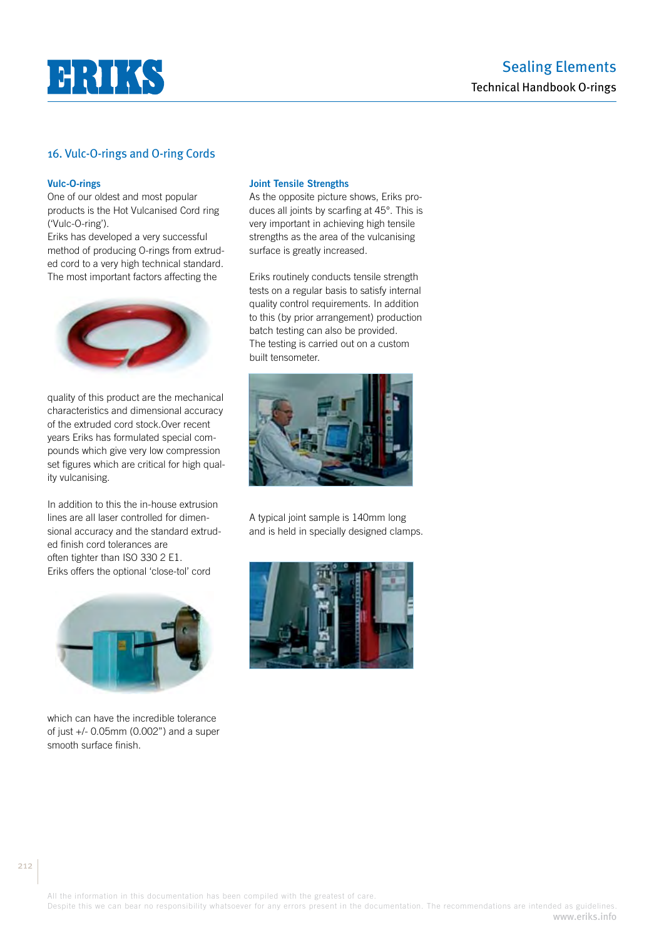

## 16. Vulc-O-rings and O-ring Cords

#### **Vulc-O-rings**

One of our oldest and most popular products is the Hot Vulcanised Cord ring ('Vulc-O-ring').

Eriks has developed a very successful method of producing O-rings from extruded cord to a very high technical standard. The most important factors affecting the



quality of this product are the mechanical characteristics and dimensional accuracy of the extruded cord stock.Over recent years Eriks has formulated special compounds which give very low compression set figures which are critical for high quality vulcanising.

In addition to this the in-house extrusion lines are all laser controlled for dimensional accuracy and the standard extruded finish cord tolerances are often tighter than ISO 330 2 E1. Eriks offers the optional 'close-tol' cord



which can have the incredible tolerance of just +/- 0.05mm (0.002") and a super smooth surface finish.

## **Joint Tensile Strengths**

As the opposite picture shows, Eriks produces all joints by scarfing at 45°. This is very important in achieving high tensile strengths as the area of the vulcanising surface is greatly increased.

Eriks routinely conducts tensile strength tests on a regular basis to satisfy internal quality control requirements. In addition to this (by prior arrangement) production batch testing can also be provided. The testing is carried out on a custom built tensometer.



A typical joint sample is 140mm long and is held in specially designed clamps.

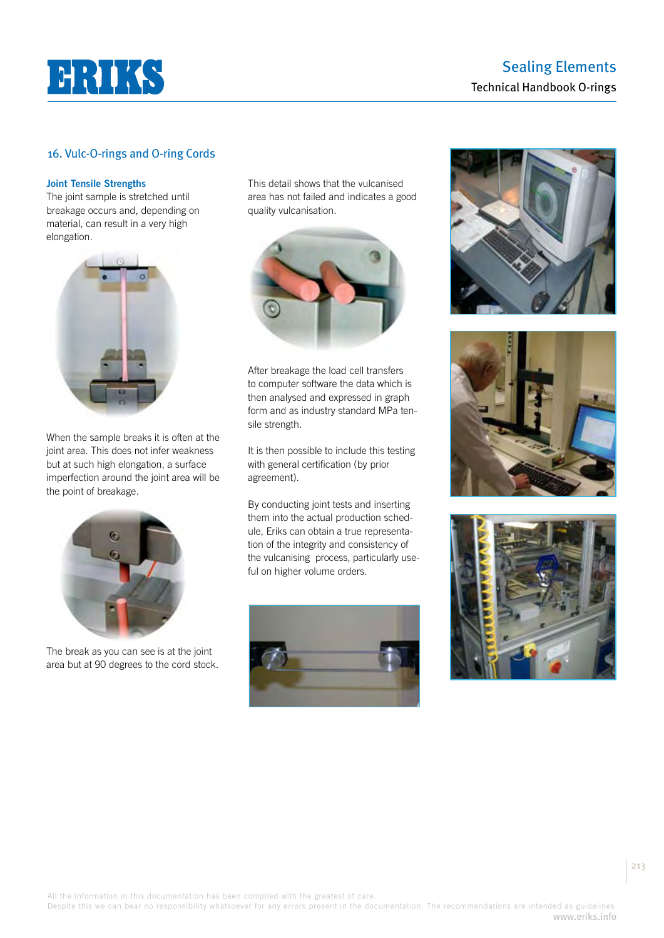

## Sealing Elements Technical Handbook O-rings

## 16. Vulc-O-rings and O-ring Cords

#### **Joint Tensile Strengths**

The joint sample is stretched until breakage occurs and, depending on material, can result in a very high elongation.



When the sample breaks it is often at the joint area. This does not infer weakness but at such high elongation, a surface imperfection around the joint area will be the point of breakage.



The break as you can see is at the joint area but at 90 degrees to the cord stock. This detail shows that the vulcanised area has not failed and indicates a good quality vulcanisation.



After breakage the load cell transfers to computer software the data which is then analysed and expressed in graph form and as industry standard MPa tensile strength.

It is then possible to include this testing with general certification (by prior agreement).

By conducting joint tests and inserting them into the actual production schedule, Eriks can obtain a true representation of the integrity and consistency of the vulcanising process, particularly useful on higher volume orders.









213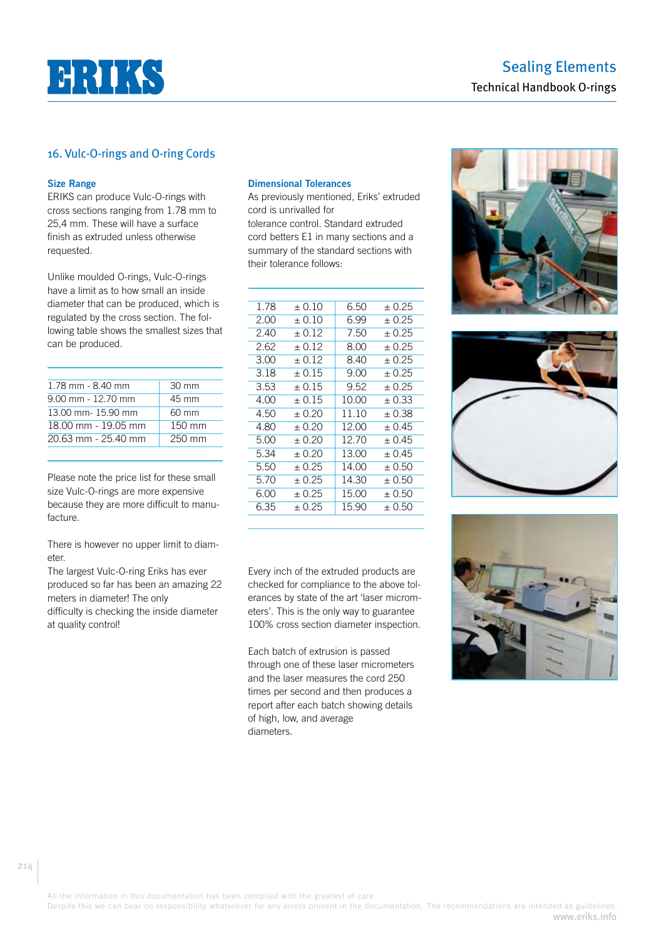

## 16. Vulc-O-rings and O-ring Cords

#### **Size Range**

ERIKS can produce Vulc-O-rings with cross sections ranging from 1.78 mm to 25,4 mm. These will have a surface finish as extruded unless otherwise requested.

Unlike moulded O-rings, Vulc-O-rings have a limit as to how small an inside diameter that can be produced, which is regulated by the cross section. The following table shows the smallest sizes that can be produced.

| 1.78 mm - 8.40 mm    | $30 \text{ mm}$  |
|----------------------|------------------|
| $9.00$ mm - 12.70 mm | 45 mm            |
| 13.00 mm-15.90 mm    | 60 mm            |
| 18.00 mm - 19.05 mm  | 150 mm           |
| 20.63 mm - 25.40 mm  | $250 \text{ mm}$ |
|                      |                  |

Please note the price list for these small size Vulc-O-rings are more expensive because they are more difficult to manufacture.

There is however no upper limit to diameter.

The largest Vulc-O-ring Eriks has ever produced so far has been an amazing 22 meters in diameter! The only difficulty is checking the inside diameter at quality control!

#### **Dimensional Tolerances**

As previously mentioned, Eriks' extruded cord is unrivalled for

tolerance control. Standard extruded cord betters E1 in many sections and a summary of the standard sections with their tolerance follows:

| 1.78 | ± 0.10  | 6.50  | ± 0.25  |
|------|---------|-------|---------|
| 2.00 | + 0.10  | 6.99  | + 0.25  |
| 2.40 | $+0.12$ | 7.50  | $+0.25$ |
| 2.62 | $+0.12$ | 8.00  | + 0.25  |
| 3.00 | $+0.12$ | 8.40  | + 0.25  |
| 3.18 | $+0.15$ | 9.00  | + 0.25  |
| 3.53 | $+0.15$ | 9.52  | + 0.25  |
| 4.00 | $+0.15$ | 10.00 | $+0.33$ |
| 4.50 | + 0.20  | 11.10 | + 0.38  |
| 4.80 | + 0.20  | 12.00 | ± 0.45  |
| 5.00 | + 0.20  | 12.70 | + 0.45  |
| 5.34 | + 0.20  | 13.00 | + 0.45  |
| 5.50 | + 0.25  | 14.00 | + 0.50  |
| 5.70 | $+0.25$ | 14.30 | + 0.50  |
| 6.00 | + 0.25  | 15.00 | + 0.50  |
| 6.35 | + 0.25  | 15.90 | + 0.50  |
|      |         |       |         |

Every inch of the extruded products are checked for compliance to the above tolerances by state of the art 'laser micrometers'. This is the only way to guarantee 100% cross section diameter inspection.

Each batch of extrusion is passed through one of these laser micrometers and the laser measures the cord 250 times per second and then produces a report after each batch showing details of high, low, and average diameters.







All the information in this documentation has been compiled with the greatest of care.

Despite this we can bear no responsibility whatsoever for any errors present in the documentation. The recommendations are intended as guidelines. www.eriks.info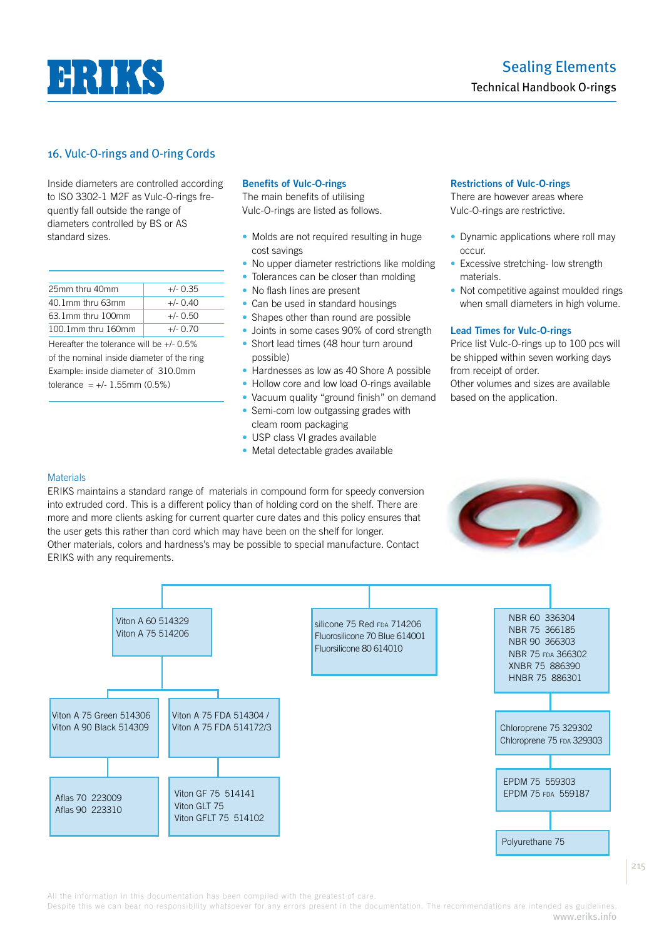

## 16. Vulc-O-rings and O-ring Cords

Inside diameters are controlled according to ISO 3302-1 M2F as Vulc-O-rings frequently fall outside the range of diameters controlled by BS or AS standard sizes.

| 25mm thru 40mm     | $+/- 0.35$ |
|--------------------|------------|
| 40.1mm thru 63mm   | $+/- 0.40$ |
| 63 1mm thru 100mm  | $+/- 0.50$ |
| 100.1mm thru 160mm | $+/-$ 0.70 |

Hereafter the tolerance will be +/- 0.5% of the nominal inside diameter of the ring Example: inside diameter of 310.0mm tolerance =  $+/- 1.55$ mm (0.5%)

## **Benefits of Vulc-O-rings**

The main benefits of utilising Vulc-O-rings are listed as follows.

- Molds are not required resulting in huge cost savings
- No upper diameter restrictions like molding
- Tolerances can be closer than molding
- No flash lines are present
- Can be used in standard housings
- Shapes other than round are possible
- Joints in some cases 90% of cord strength • Short lead times (48 hour turn around possible)
- Hardnesses as low as 40 Shore A possible
- Hollow core and low load O-rings available
- Vacuum quality "ground finish" on demand
- Semi-com low outgassing grades with
- cleam room packaging
- USP class VI grades available
- Metal detectable grades available

#### **Restrictions of Vulc-O-rings**

There are however areas where Vulc-O-rings are restrictive.

- Dynamic applications where roll may occur.
- Excessive stretching- low strength materials.
- Not competitive against moulded rings when small diameters in high volume.

#### **Lead Times for Vulc-O-rings**

Price list Vulc-O-rings up to 100 pcs will be shipped within seven working days from receipt of order.

Other volumes and sizes are available based on the application.

## **Materials**

ERIKS maintains a standard range of materials in compound form for speedy conversion into extruded cord. This is a different policy than of holding cord on the shelf. There are more and more clients asking for current quarter cure dates and this policy ensures that the user gets this rather than cord which may have been on the shelf for longer. Other materials, colors and hardness's may be possible to special manufacture. Contact ERIKS with any requirements.





Despite this we can bear no responsibility whatsoever for any errors present in the documentation. The recommendations are intended as guidelines. www.eriks.info